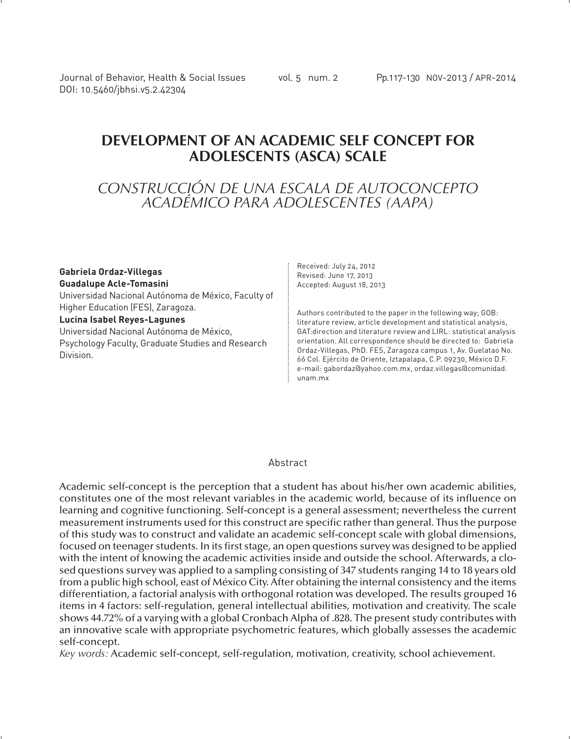Journal of Behavior, Health & Social Issues vol. 5 num. 2 Pp.117-130 NOV-2013 / APR-2014 DOI: 10.5460/jbhsi.v5.2.42304

# **DEVELOPMENT OF AN ACADEMIC SELF CONCEPT FOR ADOLESCENTS (ASCA) SCALE**

# *CONSTRUCCIÓN DE UNA ESCALA DE AUTOCONCEPTO ACADÉMICO PARA ADOLESCENTES (AAPA)*

#### **Gabriela Ordaz-Villegas Guadalupe Acle-Tomasini**

Universidad Nacional Autónoma de México, Faculty of Higher Education (FES), Zaragoza.

#### **Lucina Isabel Reyes-Lagunes**

Universidad Nacional Autónoma de México, Psychology Faculty, Graduate Studies and Research Division.

Received: July 24, 2012 Revised: June 17, 2013 Accepted: August 18, 2013

Authors contributed to the paper in the following way; GOB: literature review, article development and statistical analysis, GAT:direction and literature review and LIRL: statistical analysis orientation. All correspondence should be directed to: Gabriela Ordaz-Villegas, PhD. FES, Zaragoza campus 1, Av. Guelatao No. 66 Col. Ejército de Oriente, Iztapalapa, C.P. 09230, México D.F. e-mail: gabordaz@yahoo.com.mx, ordaz.villegas@comunidad. unam.mx

#### **Abstract**

Academic self-concept is the perception that a student has about his/her own academic abilities, constitutes one of the most relevant variables in the academic world, because of its influence on learning and cognitive functioning. Self-concept is a general assessment; nevertheless the current measurement instruments used for this construct are specific rather than general. Thus the purpose of this study was to construct and validate an academic self-concept scale with global dimensions, focused on teenager students. In its first stage, an open questions survey was designed to be applied with the intent of knowing the academic activities inside and outside the school. Afterwards, a closed questions survey was applied to a sampling consisting of 347 students ranging 14 to 18 years old from a public high school, east of México City. After obtaining the internal consistency and the items differentiation, a factorial analysis with orthogonal rotation was developed. The results grouped 16 items in 4 factors: self-regulation, general intellectual abilities, motivation and creativity. The scale shows 44.72% of a varying with a global Cronbach Alpha of .828. The present study contributes with an innovative scale with appropriate psychometric features, which globally assesses the academic self-concept.

*Key words:* Academic self-concept, self-regulation, motivation, creativity, school achievement.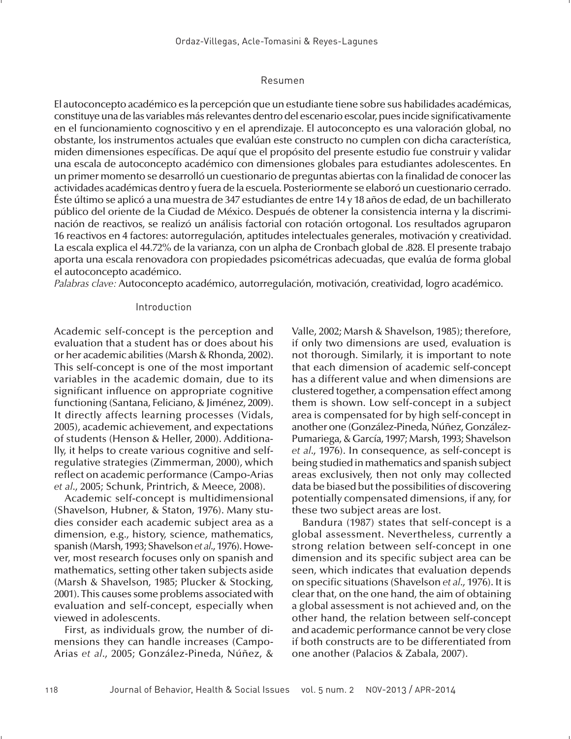#### Resumen

El autoconcepto académico es la percepción que un estudiante tiene sobre sus habilidades académicas, constituye una de las variables más relevantes dentro del escenario escolar, pues incide significativamente en el funcionamiento cognoscitivo y en el aprendizaje. El autoconcepto es una valoración global, no obstante, los instrumentos actuales que evalúan este constructo no cumplen con dicha característica, miden dimensiones específicas. De aquí que el propósito del presente estudio fue construir y validar una escala de autoconcepto académico con dimensiones globales para estudiantes adolescentes. En un primer momento se desarrolló un cuestionario de preguntas abiertas con la finalidad de conocer las actividades académicas dentro y fuera de la escuela. Posteriormente se elaboró un cuestionario cerrado. Éste último se aplicó a una muestra de 347 estudiantes de entre 14 y 18 años de edad, de un bachillerato público del oriente de la Ciudad de México. Después de obtener la consistencia interna y la discriminación de reactivos, se realizó un análisis factorial con rotación ortogonal. Los resultados agruparon 16 reactivos en 4 factores: autorregulación, aptitudes intelectuales generales, motivación y creatividad. La escala explica el 44.72% de la varianza, con un alpha de Cronbach global de .828. El presente trabajo aporta una escala renovadora con propiedades psicométricas adecuadas, que evalúa de forma global el autoconcepto académico.

*Palabras clave:* Autoconcepto académico, autorregulación, motivación, creatividad, logro académico.

#### Introduction

Academic self-concept is the perception and evaluation that a student has or does about his or her academic abilities (Marsh & Rhonda, 2002). This self-concept is one of the most important variables in the academic domain, due to its significant influence on appropriate cognitive functioning (Santana, Feliciano, & Jiménez, 2009). It directly affects learning processes (Vidals, 2005), academic achievement, and expectations of students (Henson & Heller, 2000). Additionally, it helps to create various cognitive and selfregulative strategies (Zimmerman, 2000), which reflect on academic performance (Campo-Arias *et al*., 2005; Schunk, Printrich, & Meece, 2008).

Academic self-concept is multidimensional (Shavelson, Hubner, & Staton, 1976). Many studies consider each academic subject area as a dimension, e.g., history, science, mathematics, spanish (Marsh, 1993; Shavelson *et al*., 1976). However, most research focuses only on spanish and mathematics, setting other taken subjects aside (Marsh & Shavelson, 1985; Plucker & Stocking, 2001). This causes some problems associated with evaluation and self-concept, especially when viewed in adolescents.

First, as individuals grow, the number of dimensions they can handle increases (Campo-Arias *et al*., 2005; González-Pineda, Núñez, & Valle, 2002; Marsh & Shavelson, 1985); therefore, if only two dimensions are used, evaluation is not thorough. Similarly, it is important to note that each dimension of academic self-concept has a different value and when dimensions are clustered together, a compensation effect among them is shown. Low self-concept in a subject area is compensated for by high self-concept in another one (González-Pineda, Núñez, González-Pumariega, & García, 1997; Marsh, 1993; Shavelson *et al*., 1976). In consequence, as self-concept is being studied in mathematics and spanish subject areas exclusively, then not only may collected data be biased but the possibilities of discovering potentially compensated dimensions, if any, for these two subject areas are lost.

Bandura (1987) states that self-concept is a global assessment. Nevertheless, currently a strong relation between self-concept in one dimension and its specific subject area can be seen, which indicates that evaluation depends on specific situations (Shavelson *et al*., 1976). It is clear that, on the one hand, the aim of obtaining a global assessment is not achieved and, on the other hand, the relation between self-concept and academic performance cannot be very close if both constructs are to be differentiated from one another (Palacios & Zabala, 2007).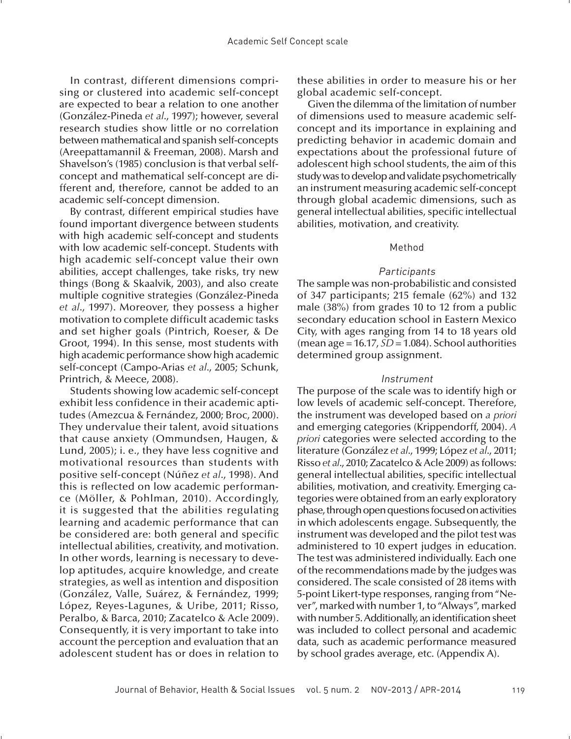In contrast, different dimensions comprising or clustered into academic self-concept are expected to bear a relation to one another (González-Pineda *et al*., 1997); however, several research studies show little or no correlation between mathematical and spanish self-concepts (Areepattamannil & Freeman, 2008). Marsh and Shavelson's (1985) conclusion is that verbal selfconcept and mathematical self-concept are different and, therefore, cannot be added to an academic self-concept dimension.

By contrast, different empirical studies have found important divergence between students with high academic self-concept and students with low academic self-concept. Students with high academic self-concept value their own abilities, accept challenges, take risks, try new things (Bong & Skaalvik, 2003), and also create multiple cognitive strategies (González-Pineda *et al*., 1997). Moreover, they possess a higher motivation to complete difficult academic tasks and set higher goals (Pintrich, Roeser, & De Groot, 1994). In this sense, most students with high academic performance show high academic self-concept (Campo-Arias *et al*., 2005; Schunk, Printrich, & Meece, 2008).

Students showing low academic self-concept exhibit less confidence in their academic aptitudes (Amezcua & Fernández, 2000; Broc, 2000). They undervalue their talent, avoid situations that cause anxiety (Ommundsen, Haugen, & Lund, 2005); i. e., they have less cognitive and motivational resources than students with positive self-concept (Núñez *et al*., 1998). And this is reflected on low academic performance (Möller, & Pohlman, 2010). Accordingly, it is suggested that the abilities regulating learning and academic performance that can be considered are: both general and specific intellectual abilities, creativity, and motivation. In other words, learning is necessary to develop aptitudes, acquire knowledge, and create strategies, as well as intention and disposition (González, Valle, Suárez, & Fernández, 1999; López, Reyes-Lagunes, & Uribe, 2011; Risso, Peralbo, & Barca, 2010; Zacatelco & Acle 2009). Consequently, it is very important to take into account the perception and evaluation that an adolescent student has or does in relation to these abilities in order to measure his or her global academic self-concept.

Given the dilemma of the limitation of number of dimensions used to measure academic selfconcept and its importance in explaining and predicting behavior in academic domain and expectations about the professional future of adolescent high school students, the aim of this study was to develop and validate psychometrically an instrument measuring academic self-concept through global academic dimensions, such as general intellectual abilities, specific intellectual abilities, motivation, and creativity.

#### Method

### **Participants**

The sample was non-probabilistic and consisted of 347 participants; 215 female (62%) and 132 male (38%) from grades 10 to 12 from a public secondary education school in Eastern Mexico City, with ages ranging from 14 to 18 years old (mean age = 16.17, *SD* = 1.084). School authorities determined group assignment.

#### Instrument

The purpose of the scale was to identify high or low levels of academic self-concept. Therefore, the instrument was developed based on *a priori* and emerging categories (Krippendorff, 2004). *A priori* categories were selected according to the literature (González *et al*., 1999; López *et al*., 2011; Risso *et al*., 2010; Zacatelco & Acle 2009) as follows: general intellectual abilities, specific intellectual abilities, motivation, and creativity. Emerging categories were obtained from an early exploratory phase, through open questions focused on activities in which adolescents engage. Subsequently, the instrument was developed and the pilot test was administered to 10 expert judges in education. The test was administered individually. Each one of the recommendations made by the judges was considered. The scale consisted of 28 items with 5-point Likert-type responses, ranging from "Never", marked with number 1, to "Always", marked with number 5. Additionally, an identification sheet was included to collect personal and academic data, such as academic performance measured by school grades average, etc. (Appendix A).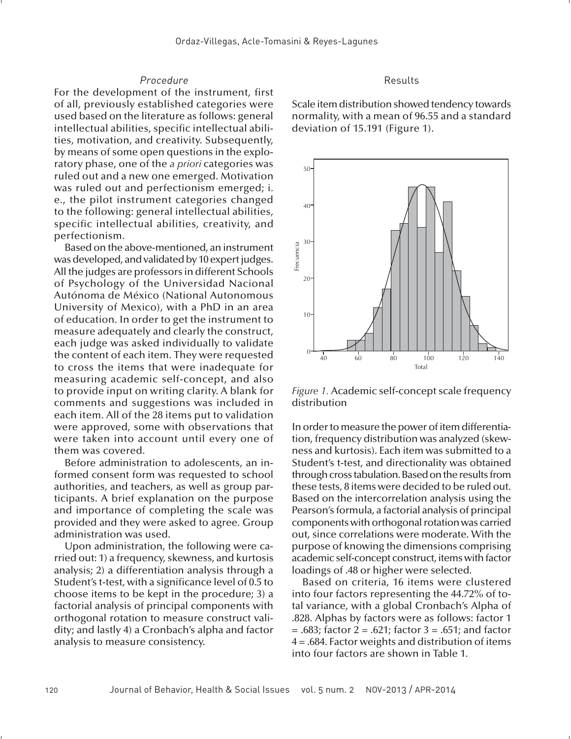#### Procedure

For the development of the instrument, first of all, previously established categories were used based on the literature as follows: general intellectual abilities, specific intellectual abilities, motivation, and creativity. Subsequently, by means of some open questions in the exploratory phase, one of the *a priori* categories was ruled out and a new one emerged. Motivation was ruled out and perfectionism emerged; i. e., the pilot instrument categories changed to the following: general intellectual abilities, specific intellectual abilities, creativity, and perfectionism.

Based on the above-mentioned, an instrument was developed, and validated by 10 expert judges. All the judges are professors in different Schools of Psychology of the Universidad Nacional Autónoma de México (National Autonomous University of Mexico), with a PhD in an area of education. In order to get the instrument to measure adequately and clearly the construct, each judge was asked individually to validate the content of each item. They were requested to cross the items that were inadequate for measuring academic self-concept, and also to provide input on writing clarity. A blank for comments and suggestions was included in each item. All of the 28 items put to validation were approved, some with observations that were taken into account until every one of them was covered.

Before administration to adolescents, an informed consent form was requested to school authorities, and teachers, as well as group participants. A brief explanation on the purpose and importance of completing the scale was provided and they were asked to agree. Group administration was used.

Upon administration, the following were carried out: 1) a frequency, skewness, and kurtosis analysis; 2) a differentiation analysis through a Student's t-test, with a significance level of 0.5 to choose items to be kept in the procedure; 3) a factorial analysis of principal components with orthogonal rotation to measure construct validity; and lastly 4) a Cronbach's alpha and factor analysis to measure consistency.

#### Results

Scale item distribution showed tendency towards normality, with a mean of 96.55 and a standard deviation of 15.191 (Figure 1).



*Figure 1.* Academic self-concept scale frequency distribution

In order to measure the power of item differentiation, frequency distribution was analyzed (skewness and kurtosis). Each item was submitted to a Student's t-test, and directionality was obtained through cross tabulation. Based on the results from these tests, 8 items were decided to be ruled out. Based on the intercorrelation analysis using the Pearson's formula, a factorial analysis of principal components with orthogonal rotation was carried out, since correlations were moderate. With the purpose of knowing the dimensions comprising academic self-concept construct, items with factor loadings of .48 or higher were selected.

Based on criteria, 16 items were clustered into four factors representing the 44.72% of total variance, with a global Cronbach's Alpha of .828. Alphas by factors were as follows: factor 1  $= .683$ ; factor  $2 = .621$ ; factor  $3 = .651$ ; and factor 4 = .684. Factor weights and distribution of items into four factors are shown in Table 1.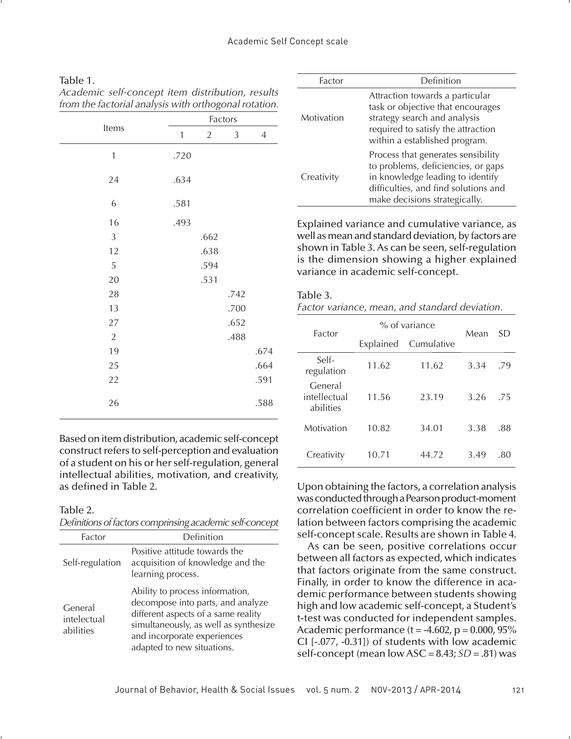*Academic self-concept item distribution, results from the factorial analysis with orthogonal rotation.*

|                |              |                | Factors |                |
|----------------|--------------|----------------|---------|----------------|
| Items          | $\mathbf{1}$ | $\overline{2}$ | 3       | $\overline{4}$ |
| $\mathbf{1}$   | .720         |                |         |                |
| 24             | .634         |                |         |                |
| 6              | .581         |                |         |                |
| 16             | .493         |                |         |                |
| $\mathfrak{Z}$ |              | .662           |         |                |
| 12             |              | .638           |         |                |
| 5              |              | .594           |         |                |
| 20             |              | .531           |         |                |
| 28             |              |                | .742    |                |
| 13             |              |                | .700    |                |
| 27             |              |                | .652    |                |
| $\sqrt{2}$     |              |                | .488    |                |
| 19             |              |                |         | .674           |
| 25             |              |                |         | .664           |
| 22             |              |                |         | .591           |
| 26             |              |                |         | .588           |

Based on item distribution, academic self-concept construct refers to self-perception and evaluation of a student on his or her self-regulation, general intellectual abilities, motivation, and creativity, as defined in Table 2.

Table 2.

*Definitions of factors comprinsing academic self-concept*

| Factor                              | Definition                                                                                                                                                                                                        |
|-------------------------------------|-------------------------------------------------------------------------------------------------------------------------------------------------------------------------------------------------------------------|
| Self-regulation                     | Positive attitude towards the<br>acquisition of knowledge and the<br>learning process.                                                                                                                            |
| General<br>intelectual<br>abilities | Ability to process information,<br>decompose into parts, and analyze<br>different aspects of a same reality<br>simultaneously, as well as synthesize<br>and incorporate experiences<br>adapted to new situations. |

| Factor     | Definition                                                                                                                                                                            |
|------------|---------------------------------------------------------------------------------------------------------------------------------------------------------------------------------------|
| Motivation | Attraction towards a particular<br>task or objective that encourages<br>strategy search and analysis<br>required to satisfy the attraction<br>within a established program.           |
| Creativity | Process that generates sensibility<br>to problems, deficiencies, or gaps<br>in knowledge leading to identify<br>difficulties, and find solutions and<br>make decisions strategically. |

Explained variance and cumulative variance, as well as mean and standard deviation, by factors are shown in Table 3. As can be seen, self-regulation is the dimension showing a higher explained variance in academic self-concept.

### Table 3.

| Factor variance, mean, and standard deviation. |  |  |  |  |
|------------------------------------------------|--|--|--|--|
|------------------------------------------------|--|--|--|--|

| Factor                               |           | $%$ of variance | Mean | SD  |  |
|--------------------------------------|-----------|-----------------|------|-----|--|
|                                      | Explained | Cumulative      |      |     |  |
| Self-<br>regulation                  | 11.62     | 11.62           | 3.34 | .79 |  |
| General<br>intellectual<br>abilities | 11.56     | 23.19           | 3.26 | .75 |  |
| Motivation                           | 10.82     | 34.01           | 3.38 | .88 |  |
| Creativity                           | 10.71     | 44.72           | 3.49 | .80 |  |

Upon obtaining the factors, a correlation analysis was conducted through a Pearson product-moment correlation coefficient in order to know the relation between factors comprising the academic self-concept scale. Results are shown in Table 4.

As can be seen, positive correlations occur between all factors as expected, which indicates that factors originate from the same construct. Finally, in order to know the difference in academic performance between students showing high and low academic self-concept, a Student's t-test was conducted for independent samples. Academic performance ( $t = -4.602$ ,  $p = 0.000$ ,  $95\%$ CI [-.077, -0.31]) of students with low academic self-concept (mean low ASC = 8.43; *SD* = .81) was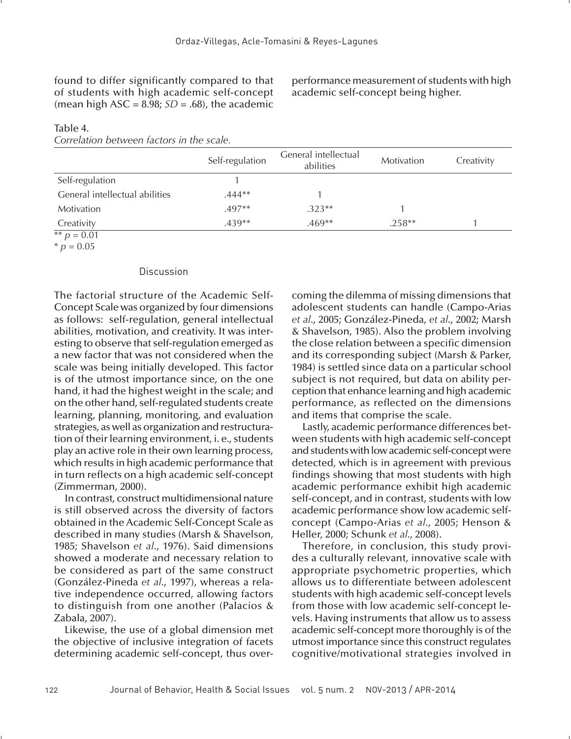found to differ significantly compared to that of students with high academic self-concept (mean high ASC =  $8.98$ ; *SD* = .68), the academic performance measurement of students with high academic self-concept being higher.

|                                        | Self-regulation | General intellectual<br>abilities | Motivation | Creativity |
|----------------------------------------|-----------------|-----------------------------------|------------|------------|
| Self-regulation                        |                 |                                   |            |            |
| General intellectual abilities         | $.444**$        |                                   |            |            |
| Motivation                             | $.497**$        | $.323**$                          |            |            |
| Creativity<br>$** - \Omega$ $\Omega$ 1 | $.439**$        | $.469**$                          | $.258**$   |            |

# Table 4.

*Correlation between factors in the scale.*

 $*$  *p* = 0.01  $*$  *p* = 0.05

#### Discussion

The factorial structure of the Academic Self-Concept Scale was organized by four dimensions as follows: self-regulation, general intellectual abilities, motivation, and creativity. It was interesting to observe that self-regulation emerged as a new factor that was not considered when the scale was being initially developed. This factor is of the utmost importance since, on the one hand, it had the highest weight in the scale; and on the other hand, self-regulated students create learning, planning, monitoring, and evaluation strategies, as well as organization and restructuration of their learning environment, i. e., students play an active role in their own learning process, which results in high academic performance that in turn reflects on a high academic self-concept (Zimmerman, 2000).

In contrast, construct multidimensional nature is still observed across the diversity of factors obtained in the Academic Self-Concept Scale as described in many studies (Marsh & Shavelson, 1985; Shavelson *et al*., 1976). Said dimensions showed a moderate and necessary relation to be considered as part of the same construct (González-Pineda *et al*., 1997), whereas a relative independence occurred, allowing factors to distinguish from one another (Palacios & Zabala, 2007).

Likewise, the use of a global dimension met the objective of inclusive integration of facets determining academic self-concept, thus overcoming the dilemma of missing dimensions that adolescent students can handle (Campo-Arias *et al*., 2005; González-Pineda, *et al*., 2002; Marsh & Shavelson, 1985). Also the problem involving the close relation between a specific dimension and its corresponding subject (Marsh & Parker, 1984) is settled since data on a particular school subject is not required, but data on ability perception that enhance learning and high academic performance, as reflected on the dimensions and items that comprise the scale.

Lastly, academic performance differences between students with high academic self-concept and students with low academic self-concept were detected, which is in agreement with previous findings showing that most students with high academic performance exhibit high academic self-concept, and in contrast, students with low academic performance show low academic selfconcept (Campo-Arias *et al*., 2005; Henson & Heller, 2000; Schunk *et al*., 2008).

Therefore, in conclusion, this study provides a culturally relevant, innovative scale with appropriate psychometric properties, which allows us to differentiate between adolescent students with high academic self-concept levels from those with low academic self-concept levels. Having instruments that allow us to assess academic self-concept more thoroughly is of the utmost importance since this construct regulates cognitive/motivational strategies involved in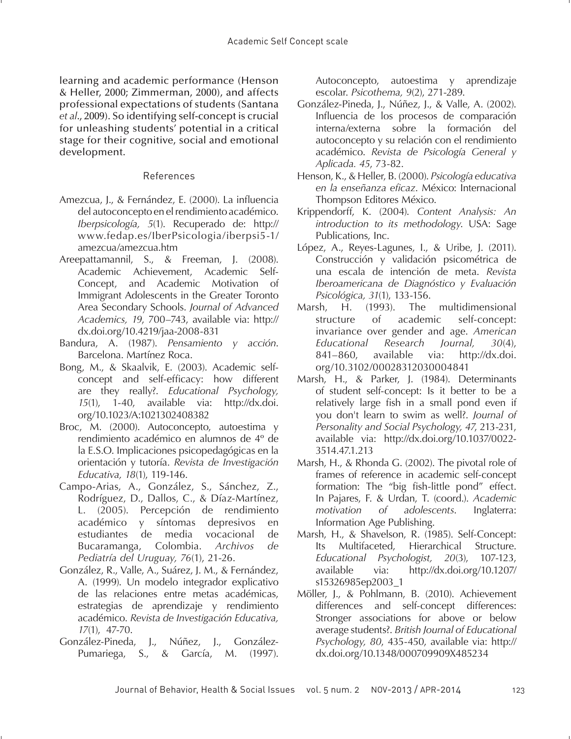learning and academic performance (Henson & Heller, 2000; Zimmerman, 2000), and affects professional expectations of students (Santana *et al*., 2009). So identifying self-concept is crucial for unleashing students' potential in a critical stage for their cognitive, social and emotional development.

### References

- Amezcua, J., & Fernández, E. (2000). La influencia del autoconcepto en el rendimiento académico. *Iberpsicología, 5*(1). Recuperado de: http:// www.fedap.es/IberPsicologia/iberpsi5-1/ amezcua/amezcua.htm
- Areepattamannil, S., & Freeman, J. (2008). Academic Achievement, Academic Self-Concept, and Academic Motivation of Immigrant Adolescents in the Greater Toronto Area Secondary Schools. *Journal of Advanced Academics, 19*, 700–743, available via: http:// dx.doi.org/10.4219/jaa-2008-831
- Bandura, A. (1987). *Pensamiento y acción*. Barcelona. Martínez Roca.
- Bong, M., & Skaalvik, E. (2003). Academic selfconcept and self-efficacy: how different are they really?. *Educational Psychology, 15*(1), 1-40, available via: http://dx.doi. org/10.1023/A:1021302408382
- Broc, M. (2000). Autoconcepto, autoestima y rendimiento académico en alumnos de 4º de la E.S.O. Implicaciones psicopedagógicas en la orientación y tutoría. *Revista de Investigación Educativa, 18*(1), 119-146.
- Campo-Arias, A., González, S., Sánchez, Z., Rodríguez, D., Dallos, C., & Díaz-Martínez, L. (2005). Percepción de rendimiento académico y síntomas depresivos en estudiantes de media vocacional de Bucaramanga, Colombia. *Archivos de Pediatría del Uruguay, 76*(1), 21-26.
- González, R., Valle, A., Suárez, J. M., & Fernández, A. (1999). Un modelo integrador explicativo de las relaciones entre metas académicas, estrategias de aprendizaje y rendimiento académico. *Revista de Investigación Educativa, 17*(1), 47-70.
- González-Pineda, J., Núñez, J., González-Pumariega, S., & García, M. (1997).

Autoconcepto, autoestima y aprendizaje escolar. *Psicothema, 9*(2), 271-289.

- González-Pineda, J., Núñez, J., & Valle, A. (2002). Influencia de los procesos de comparación interna/externa sobre la formación del autoconcepto y su relación con el rendimiento académico. *Revista de Psicología General y Aplicada. 45*, 73-82.
- Henson, K., & Heller, B. (2000). *Psicología educativa*  en la enseñanza eficaz. México: Internacional Thompson Editores México.
- Krippendorff, K. (2004). *Content Analysis: An introduction to its methodology*. USA: Sage Publications, Inc.
- López, A., Reyes-Lagunes, I., & Uribe, J. (2011). Construcción y validación psicométrica de una escala de intención de meta. *Revista Iberoamericana de Diagnóstico y Evaluación Psicológica, 31*(1), 133-156.
- Marsh, H. (1993). The multidimensional structure of academic self-concept: invariance over gender and age. *American Educational Research Journal, 30*(4), 841–860, available via: http://dx.doi. org/10.3102/00028312030004841
- Marsh, H., & Parker, J. (1984). Determinants of student self-concept: Is it better to be a relatively large fish in a small pond even if you don't learn to swim as well?. *Journal of Personality and Social Psychology, 47*, 213-231, available via: http://dx.doi.org/10.1037/0022- 3514.47.1.213
- Marsh, H., & Rhonda G. (2002). The pivotal role of frames of reference in academic self-concept formation: The "big fish-little pond" effect. In Pajares, F. & Urdan, T. (coord.). *Academic motivation of adolescents*. Inglaterra: Information Age Publishing.
- Marsh, H., & Shavelson, R. (1985). Self-Concept: Its Multifaceted, Hierarchical Structure. *Educational Psychologist, 20*(3), 107-123, available via: http://dx.doi.org/10.1207/ s15326985ep2003\_1
- Möller, J., & Pohlmann, B. (2010). Achievement differences and self-concept differences: Stronger associations for above or below average students?. *British Journal of Educational Psychology, 80*, 435-450, available via: http:// dx.doi.org/10.1348/000709909X485234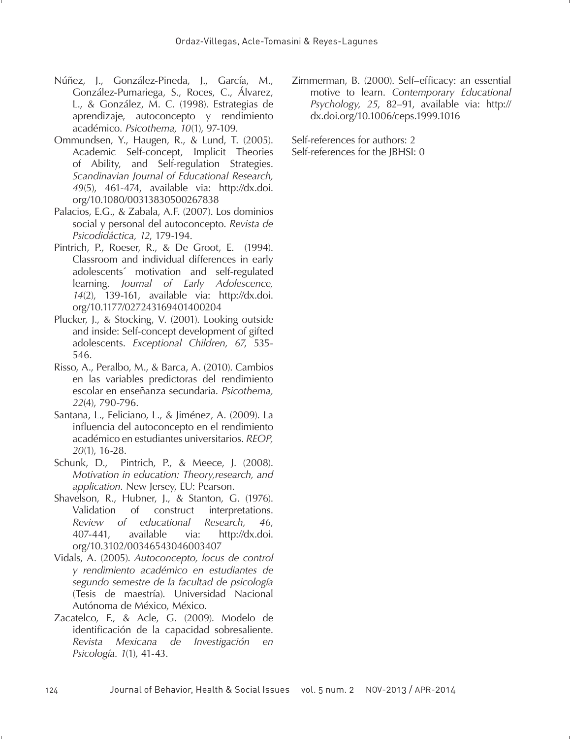- Núñez, J., González-Pineda, J., García, M., González-Pumariega, S., Roces, C., Álvarez, L., & González, M. C. (1998). Estrategias de aprendizaje, autoconcepto y rendimiento académico. *Psicothema, 10*(1), 97-109.
- Ommundsen, Y., Haugen, R., & Lund, T. (2005). Academic Self-concept, Implicit Theories of Ability, and Self-regulation Strategies. *Scandinavian Journal of Educational Research, 49*(5), 461-474, available via: http://dx.doi. org/10.1080/00313830500267838
- Palacios, E.G., & Zabala, A.F. (2007). Los dominios social y personal del autoconcepto. *Revista de Psicodidáctica, 12*, 179-194.
- Pintrich, P., Roeser, R., & De Groot, E. (1994). Classroom and individual differences in early adolescents´ motivation and self-regulated learning. *Journal of Early Adolescence, 14*(2), 139-161, available via: http://dx.doi. org/10.1177/027243169401400204
- Plucker, J., & Stocking, V. (2001). Looking outside and inside: Self-concept development of gifted adolescents. *Exceptional Children, 67*, 535- 546.
- Risso, A., Peralbo, M., & Barca, A. (2010). Cambios en las variables predictoras del rendimiento escolar en enseñanza secundaria. *Psicothema, 22*(4), 790-796.
- Santana, L., Feliciano, L., & Jiménez, A. (2009). La influencia del autoconcepto en el rendimiento académico en estudiantes universitarios. *REOP, 20*(1), 16-28.
- Schunk, D., Pintrich, P., & Meece, J. (2008). *Motivation in education: Theory,research, and application*. New Jersey, EU: Pearson.
- Shavelson, R., Hubner, J., & Stanton, G. (1976). Validation of construct interpretations. *Review of educational Research, 46*, 407-441, available via: http://dx.doi. org/10.3102/00346543046003407
- Vidals, A. (2005). *Autoconcepto, locus de control y rendimiento académico en estudiantes de segundo semestre de la facultad de psicología* (Tesis de maestría). Universidad Nacional Autónoma de México, México.
- Zacatelco, F., & Acle, G. (2009). Modelo de identificación de la capacidad sobresaliente. *Revista Mexicana de Investigación en Psicología. 1*(1), 41-43.

Zimmerman, B. (2000). Self-efficacy: an essential motive to learn. *Contemporary Educational Psychology, 25*, 82–91, available via: http:// dx.doi.org/10.1006/ceps.1999.1016

Self-references for authors: 2 Self-references for the JBHSI: 0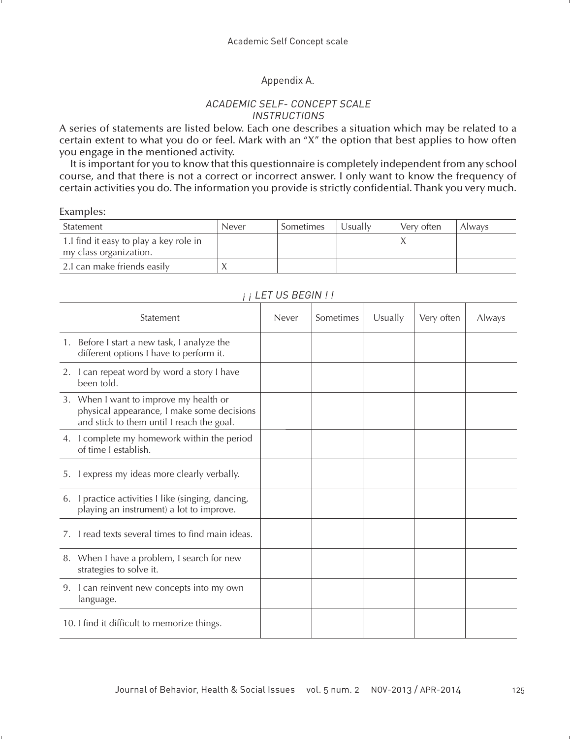### Appendix A.

### ACADEMIC SELF- CONCEPT SCALE INSTRUCTIONS

A series of statements are listed below. Each one describes a situation which may be related to a certain extent to what you do or feel. Mark with an "X" the option that best applies to how often you engage in the mentioned activity.

It is important for you to know that this questionnaire is completely independent from any school course, and that there is not a correct or incorrect answer. I only want to know the frequency of certain activities you do. The information you provide is strictly confidential. Thank you very much.

#### Examples:

| Statement                                                         | Never | Sometimes | Usuallv | Very often | <b>Always</b> |
|-------------------------------------------------------------------|-------|-----------|---------|------------|---------------|
| 1. I find it easy to play a key role in<br>my class organization. |       |           |         |            |               |
| 2.I can make friends easily                                       |       |           |         |            |               |

| $\sqrt{ }$                                                                                                                        |       |           |         |            |        |
|-----------------------------------------------------------------------------------------------------------------------------------|-------|-----------|---------|------------|--------|
| Statement                                                                                                                         | Never | Sometimes | Usually | Very often | Always |
| 1. Before I start a new task, I analyze the<br>different options I have to perform it.                                            |       |           |         |            |        |
| 2. I can repeat word by word a story I have<br>been told.                                                                         |       |           |         |            |        |
| 3. When I want to improve my health or<br>physical appearance, I make some decisions<br>and stick to them until I reach the goal. |       |           |         |            |        |
| 4. I complete my homework within the period<br>of time I establish.                                                               |       |           |         |            |        |
| I express my ideas more clearly verbally.<br>5.                                                                                   |       |           |         |            |        |
| 6. I practice activities I like (singing, dancing,<br>playing an instrument) a lot to improve.                                    |       |           |         |            |        |
| I read texts several times to find main ideas.                                                                                    |       |           |         |            |        |
| 8. When I have a problem, I search for new<br>strategies to solve it.                                                             |       |           |         |            |        |
| I can reinvent new concepts into my own<br>9.<br>language.                                                                        |       |           |         |            |        |
| 10. I find it difficult to memorize things.                                                                                       |       |           |         |            |        |

## $i : I$  FT US BEGIN I I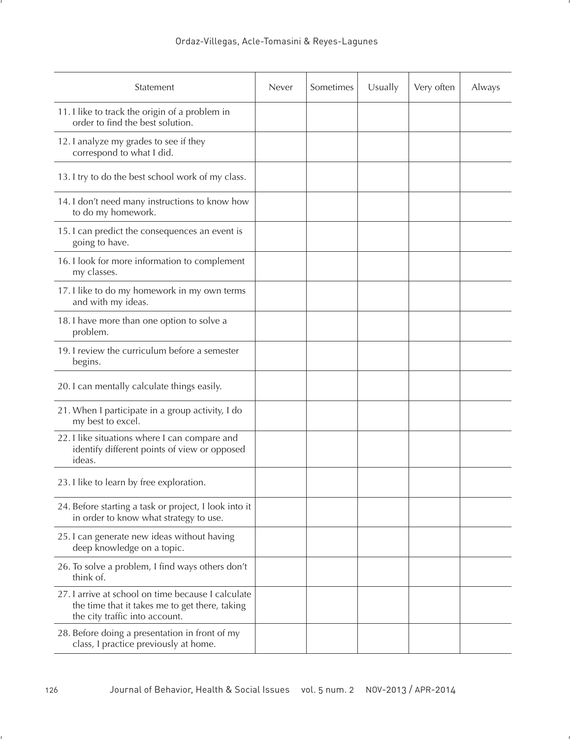| Statement                                                                                                                            | Never | Sometimes | Usually | Very often | Always |
|--------------------------------------------------------------------------------------------------------------------------------------|-------|-----------|---------|------------|--------|
| 11. I like to track the origin of a problem in<br>order to find the best solution.                                                   |       |           |         |            |        |
| 12. I analyze my grades to see if they<br>correspond to what I did.                                                                  |       |           |         |            |        |
| 13. I try to do the best school work of my class.                                                                                    |       |           |         |            |        |
| 14. I don't need many instructions to know how<br>to do my homework.                                                                 |       |           |         |            |        |
| 15. I can predict the consequences an event is<br>going to have.                                                                     |       |           |         |            |        |
| 16. I look for more information to complement<br>my classes.                                                                         |       |           |         |            |        |
| 17. I like to do my homework in my own terms<br>and with my ideas.                                                                   |       |           |         |            |        |
| 18. I have more than one option to solve a<br>problem.                                                                               |       |           |         |            |        |
| 19. I review the curriculum before a semester<br>begins.                                                                             |       |           |         |            |        |
| 20. I can mentally calculate things easily.                                                                                          |       |           |         |            |        |
| 21. When I participate in a group activity, I do<br>my best to excel.                                                                |       |           |         |            |        |
| 22. I like situations where I can compare and<br>identify different points of view or opposed<br>ideas.                              |       |           |         |            |        |
| 23. I like to learn by free exploration.                                                                                             |       |           |         |            |        |
| 24. Before starting a task or project, I look into it<br>in order to know what strategy to use.                                      |       |           |         |            |        |
| 25. I can generate new ideas without having<br>deep knowledge on a topic.                                                            |       |           |         |            |        |
| 26. To solve a problem, I find ways others don't<br>think of.                                                                        |       |           |         |            |        |
| 27. Larrive at school on time because Lcalculate<br>the time that it takes me to get there, taking<br>the city traffic into account. |       |           |         |            |        |
| 28. Before doing a presentation in front of my<br>class, I practice previously at home.                                              |       |           |         |            |        |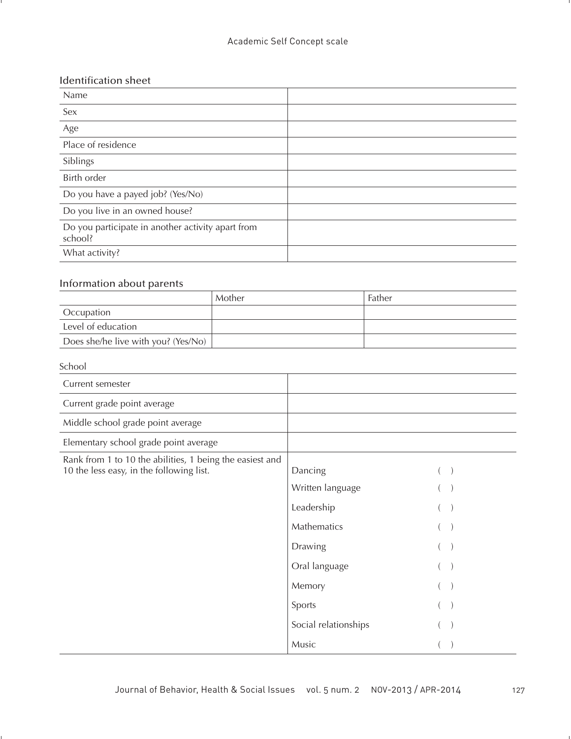## Identification sheet

| Name                                                         |  |
|--------------------------------------------------------------|--|
| Sex                                                          |  |
| Age                                                          |  |
| Place of residence                                           |  |
| Siblings                                                     |  |
| Birth order                                                  |  |
| Do you have a payed job? (Yes/No)                            |  |
| Do you live in an owned house?                               |  |
| Do you participate in another activity apart from<br>school? |  |
| What activity?                                               |  |

## Information about parents

|                                     | Mother | Father |
|-------------------------------------|--------|--------|
| Occupation                          |        |        |
| Level of education                  |        |        |
| Does she/he live with you? (Yes/No) |        |        |

### School

| Current semester                                                                                     |                      |  |
|------------------------------------------------------------------------------------------------------|----------------------|--|
| Current grade point average                                                                          |                      |  |
| Middle school grade point average                                                                    |                      |  |
| Elementary school grade point average                                                                |                      |  |
| Rank from 1 to 10 the abilities, 1 being the easiest and<br>10 the less easy, in the following list. | Dancing              |  |
|                                                                                                      | Written language     |  |
|                                                                                                      | Leadership           |  |
|                                                                                                      | Mathematics          |  |
|                                                                                                      | Drawing              |  |
|                                                                                                      | Oral language        |  |
|                                                                                                      | Memory               |  |
|                                                                                                      | Sports               |  |
|                                                                                                      | Social relationships |  |
|                                                                                                      | Music                |  |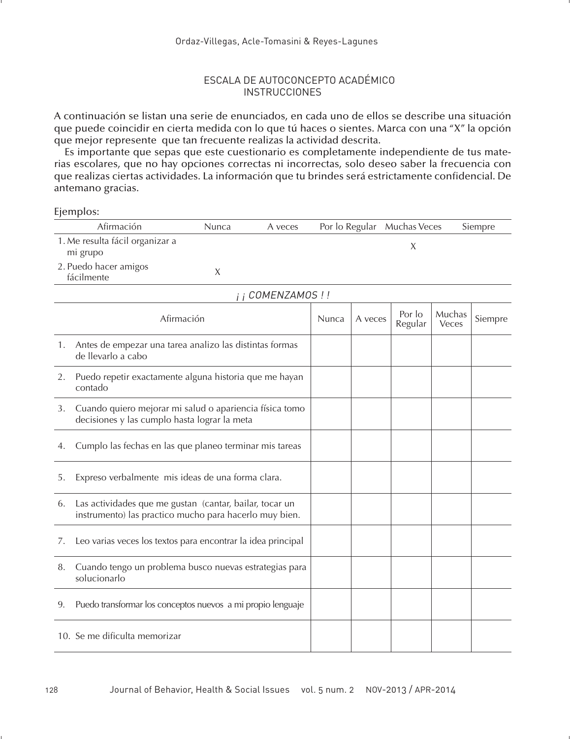### ESCALA DE AUTOCONCEPTO ACADÉMICO **INSTRUCCIONES**

A continuación se listan una serie de enunciados, en cada uno de ellos se describe una situación que puede coincidir en cierta medida con lo que tú haces o sientes. Marca con una "X" la opción que mejor represente que tan frecuente realizas la actividad descrita.

Es importante que sepas que este cuestionario es completamente independiente de tus materias escolares, que no hay opciones correctas ni incorrectas, solo deseo saber la frecuencia con que realizas ciertas actividades. La información que tu brindes será estrictamente confidencial. De antemano gracias.

Ejemplos:

|    | Afirmación                                                                                                        | Nunca      | A veces          |       |         | Por lo Regular Muchas Veces |                 | Siempre |
|----|-------------------------------------------------------------------------------------------------------------------|------------|------------------|-------|---------|-----------------------------|-----------------|---------|
|    | 1. Me resulta fácil organizar a<br>mi grupo                                                                       |            |                  |       |         | X                           |                 |         |
|    | 2. Puedo hacer amigos<br>fácilmente                                                                               | X          |                  |       |         |                             |                 |         |
|    |                                                                                                                   |            | i i COMENZAMOS!! |       |         |                             |                 |         |
|    |                                                                                                                   | Afirmación |                  | Nunca | A veces | Por lo<br>Regular           | Muchas<br>Veces | Siempre |
| 1. | Antes de empezar una tarea analizo las distintas formas<br>de llevarlo a cabo                                     |            |                  |       |         |                             |                 |         |
| 2. | Puedo repetir exactamente alguna historia que me hayan<br>contado                                                 |            |                  |       |         |                             |                 |         |
| 3. | Cuando quiero mejorar mi salud o apariencia física tomo<br>decisiones y las cumplo hasta lograr la meta           |            |                  |       |         |                             |                 |         |
| 4. | Cumplo las fechas en las que planeo terminar mis tareas                                                           |            |                  |       |         |                             |                 |         |
| 5. | Expreso verbalmente mis ideas de una forma clara.                                                                 |            |                  |       |         |                             |                 |         |
| 6. | Las actividades que me gustan (cantar, bailar, tocar un<br>instrumento) las practico mucho para hacerlo muy bien. |            |                  |       |         |                             |                 |         |
| 7. | Leo varias veces los textos para encontrar la idea principal                                                      |            |                  |       |         |                             |                 |         |
| 8. | Cuando tengo un problema busco nuevas estrategias para<br>solucionarlo                                            |            |                  |       |         |                             |                 |         |
| 9. | Puedo transformar los conceptos nuevos a mi propio lenguaje                                                       |            |                  |       |         |                             |                 |         |
|    | 10. Se me dificulta memorizar                                                                                     |            |                  |       |         |                             |                 |         |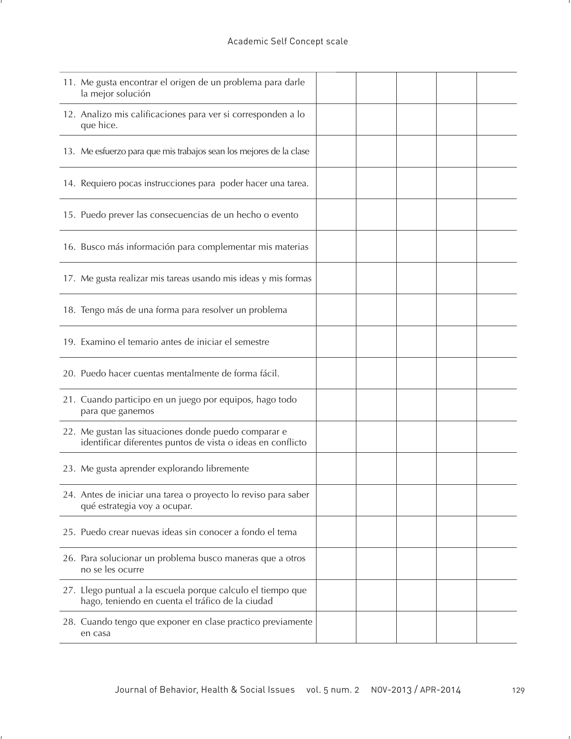| 11. Me gusta encontrar el origen de un problema para darle<br>la mejor solución                                     |  |  |  |
|---------------------------------------------------------------------------------------------------------------------|--|--|--|
| 12. Analizo mis calificaciones para ver si corresponden a lo<br>que hice.                                           |  |  |  |
| 13. Me esfuerzo para que mis trabajos sean los mejores de la clase                                                  |  |  |  |
| 14. Requiero pocas instrucciones para poder hacer una tarea.                                                        |  |  |  |
| 15. Puedo prever las consecuencias de un hecho o evento                                                             |  |  |  |
| 16. Busco más información para complementar mis materias                                                            |  |  |  |
| 17. Me gusta realizar mis tareas usando mis ideas y mis formas                                                      |  |  |  |
| 18. Tengo más de una forma para resolver un problema                                                                |  |  |  |
| 19. Examino el temario antes de iniciar el semestre                                                                 |  |  |  |
| 20. Puedo hacer cuentas mentalmente de forma fácil.                                                                 |  |  |  |
| 21. Cuando participo en un juego por equipos, hago todo<br>para que ganemos                                         |  |  |  |
| 22. Me gustan las situaciones donde puedo comparar e<br>identificar diferentes puntos de vista o ideas en conflicto |  |  |  |
| 23. Me gusta aprender explorando libremente                                                                         |  |  |  |
| 24. Antes de iniciar una tarea o proyecto lo reviso para saber<br>qué estrategia voy a ocupar.                      |  |  |  |
| 25. Puedo crear nuevas ideas sin conocer a fondo el tema                                                            |  |  |  |
| 26. Para solucionar un problema busco maneras que a otros<br>no se les ocurre                                       |  |  |  |
| 27. Llego puntual a la escuela porque calculo el tiempo que<br>hago, teniendo en cuenta el tráfico de la ciudad     |  |  |  |
| 28. Cuando tengo que exponer en clase practico previamente<br>en casa                                               |  |  |  |